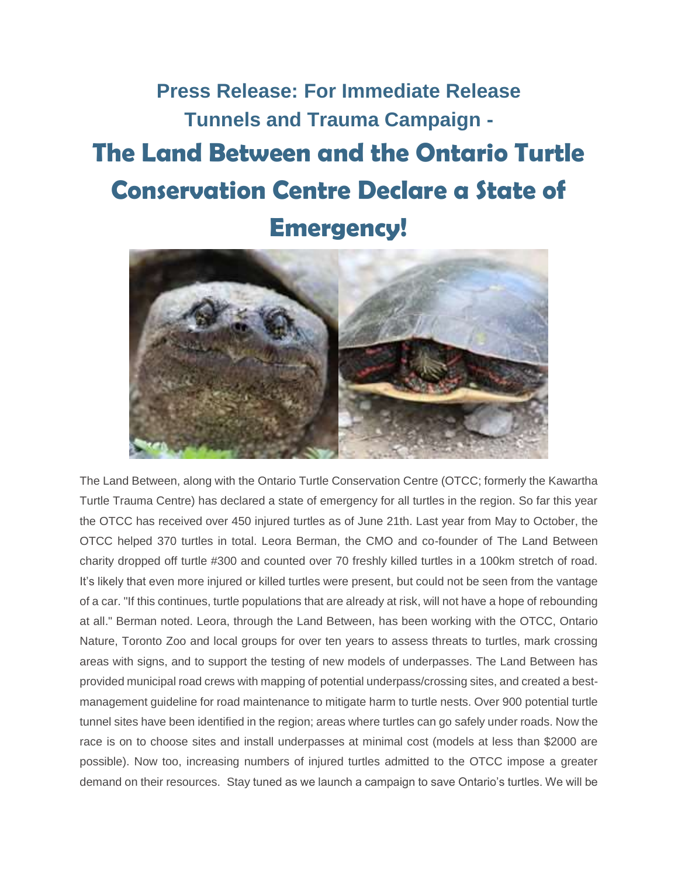**Press Release: For Immediate Release Tunnels and Trauma Campaign - The Land Between and the Ontario Turtle Conservation Centre Declare a State of Emergency!**



The Land Between, along with the Ontario Turtle Conservation Centre (OTCC; formerly the Kawartha Turtle Trauma Centre) has declared a state of emergency for all turtles in the region. So far this year the OTCC has received over 450 injured turtles as of June 21th. Last year from May to October, the OTCC helped 370 turtles in total. Leora Berman, the CMO and co-founder of The Land Between charity dropped off turtle #300 and counted over 70 freshly killed turtles in a 100km stretch of road. It's likely that even more injured or killed turtles were present, but could not be seen from the vantage of a car. "If this continues, turtle populations that are already at risk, will not have a hope of rebounding at all." Berman noted. Leora, through the Land Between, has been working with the OTCC, Ontario Nature, Toronto Zoo and local groups for over ten years to assess threats to turtles, mark crossing areas with signs, and to support the testing of new models of underpasses. The Land Between has provided municipal road crews with mapping of potential underpass/crossing sites, and created a bestmanagement guideline for road maintenance to mitigate harm to turtle nests. Over 900 potential turtle tunnel sites have been identified in the region; areas where turtles can go safely under roads. Now the race is on to choose sites and install underpasses at minimal cost (models at less than \$2000 are possible). Now too, increasing numbers of injured turtles admitted to the OTCC impose a greater demand on their resources. Stay tuned as we launch a campaign to save Ontario's turtles. We will be